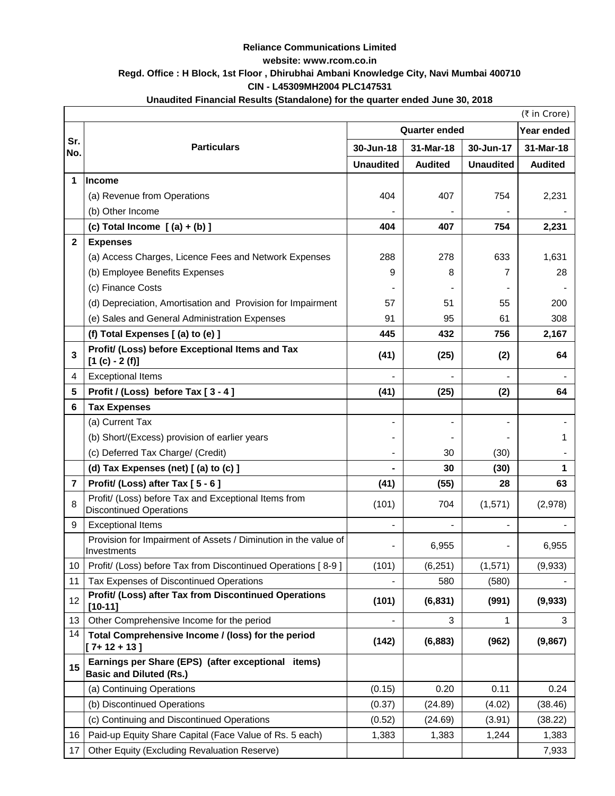# **Reliance Communications Limited**

**website: www.rcom.co.in**

# **Regd. Office : H Block, 1st Floor , Dhirubhai Ambani Knowledge City, Navi Mumbai 400710**

**CIN - L45309MH2004 PLC147531**

## **Unaudited Financial Results (Standalone) for the quarter ended June 30, 2018**

|                 |                                                                                        | (₹ in Crore)             |                      |                  |                |
|-----------------|----------------------------------------------------------------------------------------|--------------------------|----------------------|------------------|----------------|
|                 |                                                                                        |                          | <b>Quarter ended</b> |                  | Year ended     |
| Sr.<br>No.      | <b>Particulars</b>                                                                     | 30-Jun-18                | 31-Mar-18            | 30-Jun-17        | 31-Mar-18      |
|                 |                                                                                        | <b>Unaudited</b>         | <b>Audited</b>       | <b>Unaudited</b> | <b>Audited</b> |
| 1               | Income                                                                                 |                          |                      |                  |                |
|                 | (a) Revenue from Operations                                                            | 404                      | 407                  | 754              | 2,231          |
|                 | (b) Other Income                                                                       |                          |                      |                  |                |
|                 | (c) Total Income $[(a) + (b)]$                                                         | 404                      | 407                  | 754              | 2,231          |
| $\mathbf{2}$    | <b>Expenses</b>                                                                        |                          |                      |                  |                |
|                 | (a) Access Charges, Licence Fees and Network Expenses                                  | 288                      | 278                  | 633              | 1,631          |
|                 | (b) Employee Benefits Expenses                                                         | 9                        | 8                    |                  | 28             |
|                 | (c) Finance Costs                                                                      |                          |                      |                  |                |
|                 | (d) Depreciation, Amortisation and Provision for Impairment                            | 57                       | 51                   | 55               | 200            |
|                 | (e) Sales and General Administration Expenses                                          | 91                       | 95                   | 61               | 308            |
|                 | (f) Total Expenses [(a) to (e) ]                                                       | 445                      | 432                  | 756              | 2,167          |
| 3               | Profit/ (Loss) before Exceptional Items and Tax<br>$[1 (c) - 2 (f)]$                   | (41)                     | (25)                 | (2)              | 64             |
| 4               | <b>Exceptional Items</b>                                                               |                          |                      |                  |                |
| 5               | Profit / (Loss) before Tax [3 - 4]                                                     | (41)                     | (25)                 | (2)              | 64             |
| 6               | <b>Tax Expenses</b>                                                                    |                          |                      |                  |                |
|                 | (a) Current Tax                                                                        | -                        |                      |                  |                |
|                 | (b) Short/(Excess) provision of earlier years                                          | -                        |                      |                  |                |
|                 | (c) Deferred Tax Charge/ (Credit)                                                      |                          | 30                   | (30)             |                |
|                 | (d) Tax Expenses (net) [(a) to (c) ]                                                   |                          | 30                   | (30)             | 1              |
| $\overline{7}$  | Profit/ (Loss) after Tax [5 - 6]                                                       | (41)                     | (55)                 | 28               | 63             |
| 8               | Profit/ (Loss) before Tax and Exceptional Items from<br><b>Discontinued Operations</b> | (101)                    | 704                  | (1,571)          | (2,978)        |
| 9               | <b>Exceptional Items</b>                                                               |                          |                      |                  |                |
|                 | Provision for Impairment of Assets / Diminution in the value of<br>Investments         | -                        | 6,955                |                  | 6,955          |
| 10 <sup>°</sup> | Profit/ (Loss) before Tax from Discontinued Operations [8-9]                           | (101)                    | (6, 251)             | (1,571)          | (9,933)        |
| 11              | Tax Expenses of Discontinued Operations                                                |                          | 580                  | (580)            |                |
| 12              | Profit/ (Loss) after Tax from Discontinued Operations<br>$[10-11]$                     | (101)                    | (6, 831)             | (991)            | (9,933)        |
| 13              | Other Comprehensive Income for the period                                              | $\overline{\phantom{a}}$ | 3                    | 1                | 3              |
| 14              | Total Comprehensive Income / (loss) for the period<br>$[7+12+13]$                      | (142)                    | (6, 883)             | (962)            | (9,867)        |
| 15              | Earnings per Share (EPS) (after exceptional items)<br><b>Basic and Diluted (Rs.)</b>   |                          |                      |                  |                |
|                 | (a) Continuing Operations                                                              | (0.15)                   | 0.20                 | 0.11             | 0.24           |
|                 | (b) Discontinued Operations                                                            | (0.37)                   | (24.89)              | (4.02)           | (38.46)        |
|                 | (c) Continuing and Discontinued Operations                                             | (0.52)                   | (24.69)              | (3.91)           | (38.22)        |
| 16              | Paid-up Equity Share Capital (Face Value of Rs. 5 each)                                | 1,383                    | 1,383                | 1,244            | 1,383          |
| 17              | <b>Other Equity (Excluding Revaluation Reserve)</b>                                    |                          |                      |                  | 7,933          |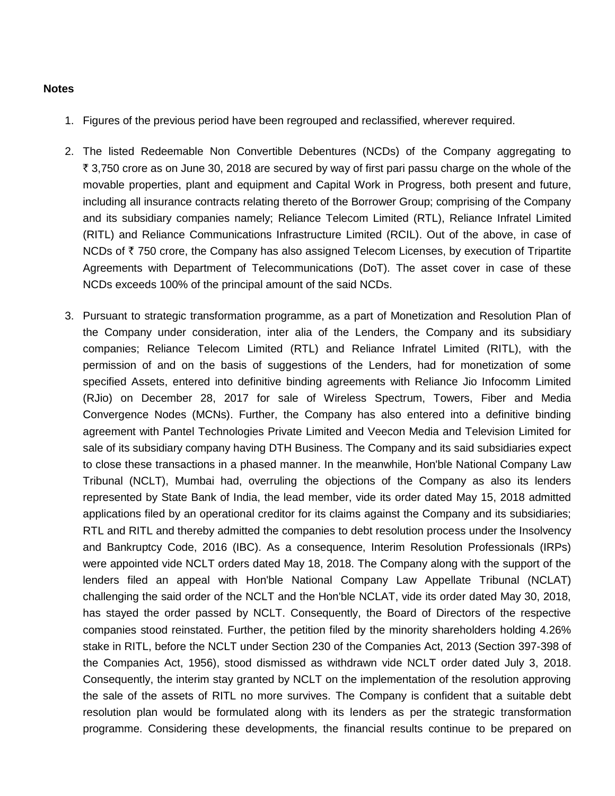#### **Notes**

- 1. Figures of the previous period have been regrouped and reclassified, wherever required.
- 2. The listed Redeemable Non Convertible Debentures (NCDs) of the Company aggregating to ` 3,750 crore as on June 30, 2018 are secured by way of first pari passu charge on the whole of the movable properties, plant and equipment and Capital Work in Progress, both present and future, including all insurance contracts relating thereto of the Borrower Group; comprising of the Company and its subsidiary companies namely; Reliance Telecom Limited (RTL), Reliance Infratel Limited (RITL) and Reliance Communications Infrastructure Limited (RCIL). Out of the above, in case of NCDs of  $\bar{\tau}$  750 crore, the Company has also assigned Telecom Licenses, by execution of Tripartite Agreements with Department of Telecommunications (DoT). The asset cover in case of these NCDs exceeds 100% of the principal amount of the said NCDs.
- 3. Pursuant to strategic transformation programme, as a part of Monetization and Resolution Plan of the Company under consideration, inter alia of the Lenders, the Company and its subsidiary companies; Reliance Telecom Limited (RTL) and Reliance Infratel Limited (RITL), with the permission of and on the basis of suggestions of the Lenders, had for monetization of some specified Assets, entered into definitive binding agreements with Reliance Jio Infocomm Limited (RJio) on December 28, 2017 for sale of Wireless Spectrum, Towers, Fiber and Media Convergence Nodes (MCNs). Further, the Company has also entered into a definitive binding agreement with Pantel Technologies Private Limited and Veecon Media and Television Limited for sale of its subsidiary company having DTH Business. The Company and its said subsidiaries expect to close these transactions in a phased manner. In the meanwhile, Hon'ble National Company Law Tribunal (NCLT), Mumbai had, overruling the objections of the Company as also its lenders represented by State Bank of India, the lead member, vide its order dated May 15, 2018 admitted applications filed by an operational creditor for its claims against the Company and its subsidiaries; RTL and RITL and thereby admitted the companies to debt resolution process under the Insolvency and Bankruptcy Code, 2016 (IBC). As a consequence, Interim Resolution Professionals (IRPs) were appointed vide NCLT orders dated May 18, 2018. The Company along with the support of the lenders filed an appeal with Hon'ble National Company Law Appellate Tribunal (NCLAT) challenging the said order of the NCLT and the Hon'ble NCLAT, vide its order dated May 30, 2018, has stayed the order passed by NCLT. Consequently, the Board of Directors of the respective companies stood reinstated. Further, the petition filed by the minority shareholders holding 4.26% stake in RITL, before the NCLT under Section 230 of the Companies Act, 2013 (Section 397-398 of the Companies Act, 1956), stood dismissed as withdrawn vide NCLT order dated July 3, 2018. Consequently, the interim stay granted by NCLT on the implementation of the resolution approving the sale of the assets of RITL no more survives. The Company is confident that a suitable debt resolution plan would be formulated along with its lenders as per the strategic transformation programme. Considering these developments, the financial results continue to be prepared on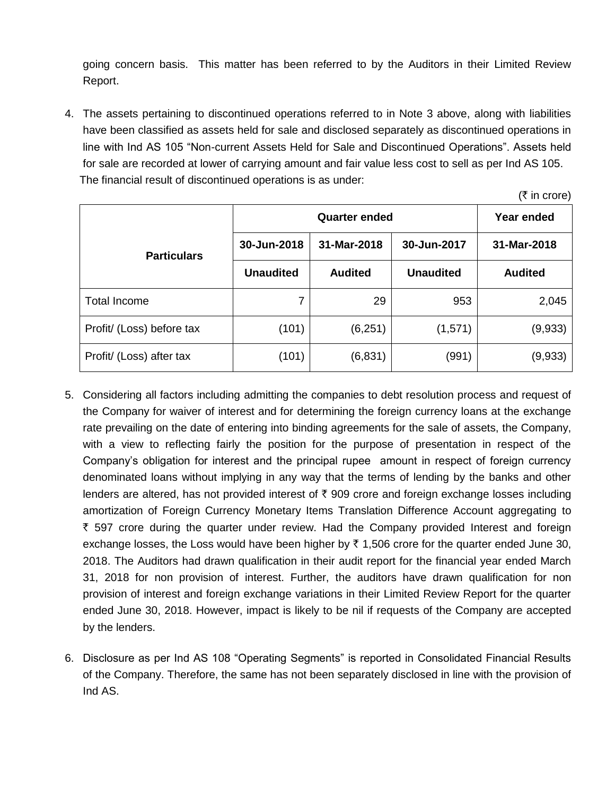going concern basis. This matter has been referred to by the Auditors in their Limited Review Report.

4. The assets pertaining to discontinued operations referred to in Note 3 above, along with liabilities have been classified as assets held for sale and disclosed separately as discontinued operations in line with Ind AS 105 "Non-current Assets Held for Sale and Discontinued Operations". Assets held for sale are recorded at lower of carrying amount and fair value less cost to sell as per Ind AS 105. The financial result of discontinued operations is as under:

 $($ ₹ in crore)

|                           |                  | Year ended     |                  |                |  |
|---------------------------|------------------|----------------|------------------|----------------|--|
| <b>Particulars</b>        | 30-Jun-2018      | 31-Mar-2018    | 30-Jun-2017      | 31-Mar-2018    |  |
|                           | <b>Unaudited</b> | <b>Audited</b> | <b>Unaudited</b> | <b>Audited</b> |  |
| Total Income              | 7                | 29             | 953              | 2,045          |  |
| Profit/ (Loss) before tax | (101)            | (6,251)        | (1,571)          | (9,933)        |  |
| Profit/ (Loss) after tax  | (101)            | (6,831)        | (991)            | (9,933)        |  |

- 5. Considering all factors including admitting the companies to debt resolution process and request of the Company for waiver of interest and for determining the foreign currency loans at the exchange rate prevailing on the date of entering into binding agreements for the sale of assets, the Company, with a view to reflecting fairly the position for the purpose of presentation in respect of the Company's obligation for interest and the principal rupee amount in respect of foreign currency denominated loans without implying in any way that the terms of lending by the banks and other lenders are altered, has not provided interest of  $\bar{\tau}$  909 crore and foreign exchange losses including amortization of Foreign Currency Monetary Items Translation Difference Account aggregating to ` 597 crore during the quarter under review. Had the Company provided Interest and foreign exchange losses, the Loss would have been higher by  $\bar{\tau}$  1,506 crore for the quarter ended June 30, 2018. The Auditors had drawn qualification in their audit report for the financial year ended March 31, 2018 for non provision of interest. Further, the auditors have drawn qualification for non provision of interest and foreign exchange variations in their Limited Review Report for the quarter ended June 30, 2018. However, impact is likely to be nil if requests of the Company are accepted by the lenders.
- 6. Disclosure as per Ind AS 108 "Operating Segments" is reported in Consolidated Financial Results of the Company. Therefore, the same has not been separately disclosed in line with the provision of Ind AS.